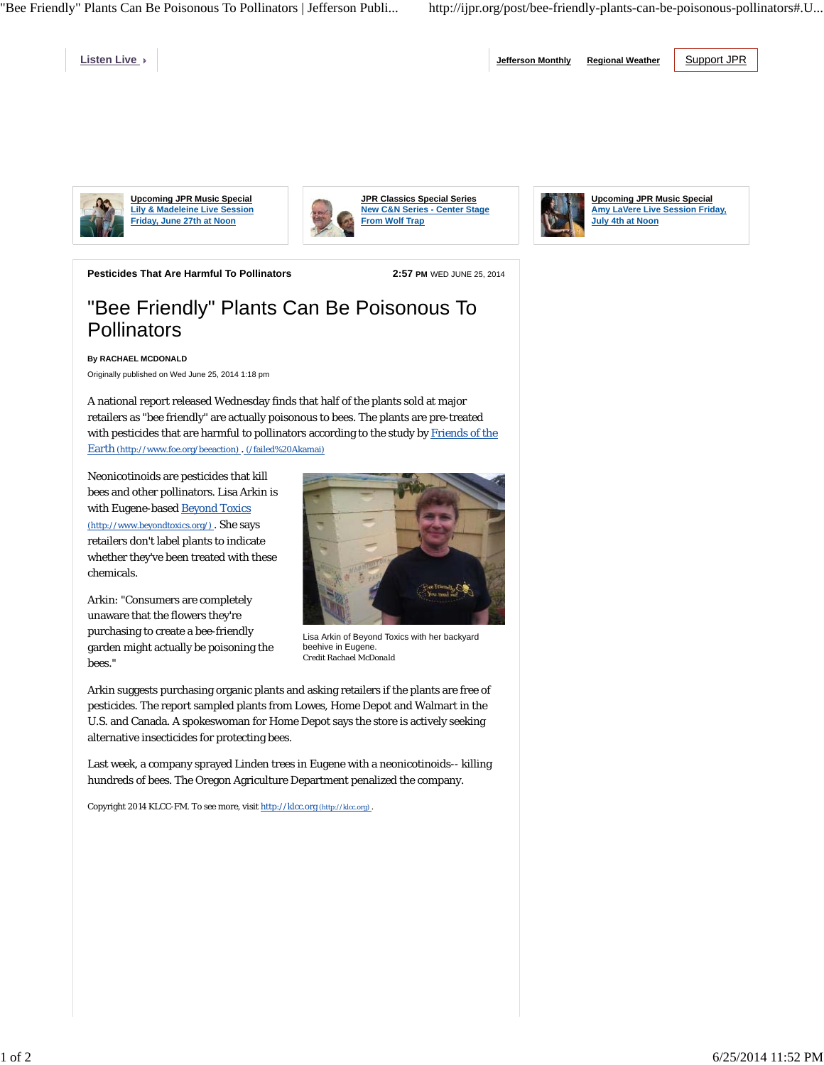"Bee Friendly" Plants Can Be Poisonous To Pollinators | Jefferson Publi... http://ijpr.org/post/bee-friendly-plants-can-be-poisonous-pollinators#.U...

**Listen Live** 

**Jefferson Monthly Regional Weather** Support JPR



**Upcoming JPR Music Special Lily & Madeleine Live Session Friday, June 27th at Noon**







**Upcoming JPR Music Special Amy LaVere Live Session Friday, July 4th at Noon**

**Pesticides That Are Harmful To Pollinators 2:57 PM** WED JUNE 25, 2014

## "Bee Friendly" Plants Can Be Poisonous To **Pollinators**

**By RACHAEL MCDONALD**

Originally published on Wed June 25, 2014 1:18 pm

A national report released Wednesday finds that half of the plants sold at major retailers as "bee friendly" are actually poisonous to bees. The plants are pre-treated with pesticides that are harmful to pollinators according to the study by Friends of the Earth (http://www.foe.org/beeaction) . (/failed%20Akamai)

Neonicotinoids are pesticides that kill bees and other pollinators. Lisa Arkin is with Eugene-based Beyond Toxics (http://www.beyondtoxics.org/) . She says retailers don't label plants to indicate whether they've been treated with these chemicals.

Arkin: "Consumers are completely unaware that the flowers they're purchasing to create a bee-friendly garden might actually be poisoning the bees."



Lisa Arkin of Beyond Toxics with her backyard beehive in Eugene. *Credit Rachael McDonald*

Arkin suggests purchasing organic plants and asking retailers if the plants are free of pesticides. The report sampled plants from Lowes, Home Depot and Walmart in the U.S. and Canada. A spokeswoman for Home Depot says the store is actively seeking alternative insecticides for protecting bees.

Last week, a company sprayed Linden trees in Eugene with a neonicotinoids-- killing hundreds of bees. The Oregon Agriculture Department penalized the company.

Copyright 2014 KLCC-FM. To see more, visit http://klcc.org (http://klcc.org) .